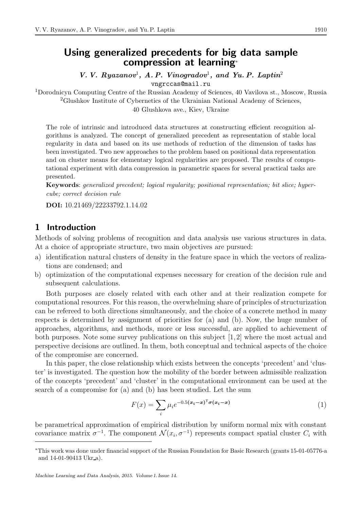# Using generalized precedents for big data sample compression at learning<sup>∗</sup>

V. V. Ryazanov<sup>1</sup>, A. P. Vinogradov<sup>1</sup>, and Yu. P. Laptin<sup>2</sup>

vngrccas@mail.ru

<sup>1</sup>Dorodnicyn Computing Centre of the Russian Academy of Sciences, 40 Vavilova st., Moscow, Russia <sup>2</sup>Glushkov Institute of Cybernetics of the Ukrainian National Academy of Sciences, 40 Glushkova ave., Kiev, Ukraine

The role of intrinsic and introduced data structures at constructing efficient recognition algorithms is analyzed. The concept of generalized precedent as representation of stable local regularity in data and based on its use methods of reduction of the dimension of tasks has been investigated. Two new approaches to the problem based on positional data representation and on cluster means for elementary logical regularities are proposed. The results of computational experiment with data compression in parametric spaces for several practical tasks are presented.

Keywords: generalized precedent; logical regularity; positional representation; bit slice; hypercube; correct decision rule

DOI: 10.21469/22233792.1.14.02

### 1 Introduction

Methods of solving problems of recognition and data analysis use various structures in data. At a choice of appropriate structure, two main objectives are pursued:

- a) identification natural clusters of density in the feature space in which the vectors of realizations are condensed; and
- b) optimization of the computational expenses necessary for creation of the decision rule and subsequent calculations.

Both purposes are closely related with each other and at their realization compete for computational resources. For this reason, the overwhelming share of principles of structurization can be refereed to both directions simultaneously, and the choice of a concrete method in many respects is determined by assignment of priorities for (a) and (b). Now, the huge number of approaches, algorithms, and methods, more or less successful, are applied to achievement of both purposes. Note some survey publications on this subject [1,2] where the most actual and perspective decisions are outlined. In them, both conceptual and technical aspects of the choice of the compromise are concerned.

In this paper, the close relationship which exists between the concepts 'precedent' and 'cluster' is investigated. The question how the mobility of the border between admissible realization of the concepts 'precedent' and 'cluster' in the computational environment can be used at the search of a compromise for (a) and (b) has been studied. Let the sum

$$
F(x) = \sum_{i} \mu_i e^{-0.5(\boldsymbol{x}_i - \boldsymbol{x})^\mathsf{T} \boldsymbol{\sigma}(\boldsymbol{x}_i - \boldsymbol{x})}
$$
(1)

be parametrical approximation of empirical distribution by uniform normal mix with constant covariance matrix  $\sigma^{-1}$ . The component  $\mathcal{N}(x_i, \sigma^{-1})$  represents compact spatial cluster  $C_i$  with

<sup>∗</sup>This work was done under financial support of the Russian Foundation for Basic Research (grants 15-01-05776-a and 14-01-90413 Ukr a).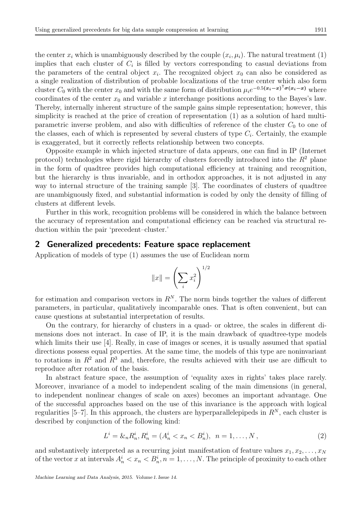the center  $x_i$  which is unambiguously described by the couple  $(x_i, \mu_i)$ . The natural treatment (1) implies that each cluster of  $C_i$  is filled by vectors corresponding to casual deviations from the parameters of the central object  $x_i$ . The recognized object  $x_0$  can also be considered as a single realization of distribution of probable localizations of the true center which also form cluster  $C_0$  with the center  $x_0$  and with the same form of distribution  $\mu_i e^{-0.5(x_i-x)^\top \sigma(x_i-x)}$  where coordinates of the center  $x_0$  and variable x interchange positions according to the Bayes's law. Thereby, internally inherent structure of the sample gains simple representation; however, this simplicity is reached at the price of creation of representation (1) as a solution of hard multiparametric inverse problem, and also with difficulties of reference of the cluster  $C_0$  to one of the classes, each of which is represented by several clusters of type  $C_i$ . Certainly, the example is exaggerated, but it correctly reflects relationship between two concepts.

Opposite example in which injected structure of data appears, one can find in IP (Internet protocol) technologies where rigid hierarchy of clusters forcedly introduced into the  $R^2$  plane in the form of quadtree provides high computational efficiency at training and recognition, but the hierarchy is thus invariable, and in orthodox approaches, it is not adjusted in any way to internal structure of the training sample [3]. The coordinates of clusters of quadtree are unambiguously fixed, and substantial information is coded by only the density of filling of clusters at different levels.

Further in this work, recognition problems will be considered in which the balance between the accuracy of representation and computational efficiency can be reached via structural reduction within the pair 'precedent–cluster.'

#### 2 Generalized precedents: Feature space replacement

Application of models of type (1) assumes the use of Euclidean norm

$$
||x|| = \left(\sum_i x_i^2\right)^{1/2}
$$

for estimation and comparison vectors in  $R<sup>N</sup>$ . The norm binds together the values of different parameters, in particular, qualitatively incomparable ones. That is often convenient, but can cause questions at substantial interpretation of results.

On the contrary, for hierarchy of clusters in a quad- or oktree, the scales in different dimensions does not interact. In case of IP, it is the main drawback of quadtree-type models which limits their use [4]. Really, in case of images or scenes, it is usually assumed that spatial directions possess equal properties. At the same time, the models of this type are noninvariant to rotations in  $R^2$  and  $R^3$  and, therefore, the results achieved with their use are difficult to reproduce after rotation of the basis.

In abstract feature space, the assumption of 'equality axes in rights' takes place rarely. Moreover, invariance of a model to independent scaling of the main dimensions (in general, to independent nonlinear changes of scale on axes) becomes an important advantage. One of the successful approaches based on the use of this invariance is the approach with logical regularities [5–7]. In this approach, the clusters are hyperparallelepipeds in  $R^N$ , each cluster is described by conjunction of the following kind:

$$
L^i = \mathcal{X}_n R_n^i, R_n^i = (A_n^i < x_n < B_n^i), \ \ n = 1, \dots, N \,, \tag{2}
$$

and substantively interpreted as a recurring joint manifestation of feature values  $x_1, x_2, \ldots, x_N$ of the vector x at intervals  $A_n^i < x_n < B_n^i$ ,  $n = 1, ..., N$ . The principle of proximity to each other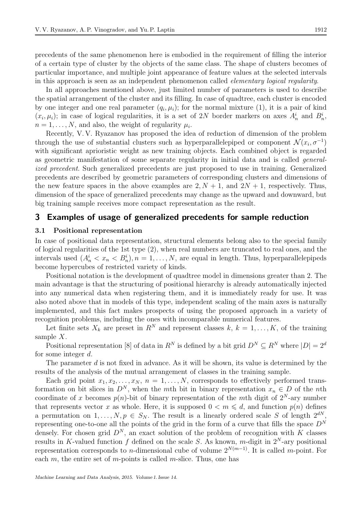precedents of the same phenomenon here is embodied in the requirement of filling the interior of a certain type of cluster by the objects of the same class. The shape of clusters becomes of particular importance, and multiple joint appearance of feature values at the selected intervals in this approach is seen as an independent phenomenon called elementary logical regularity.

In all approaches mentioned above, just limited number of parameters is used to describe the spatial arrangement of the cluster and its filling. In case of quadtree, each cluster is encoded by one integer and one real parameter  $(q_i, \mu_i)$ ; for the normal mixture (1), it is a pair of kind  $(x_i, \mu_i)$ ; in case of logical regularities, it is a set of 2N border markers on axes  $A_n^i$  and  $B_n^i$ ,  $n = 1, \ldots, N$ , and also, the weight of regularity  $\mu_i$ .

Recently, V. V. Ryazanov has proposed the idea of reduction of dimension of the problem through the use of substantial clusters such as hyperparallelepiped or component  $\mathcal{N}(x_i, \sigma^{-1})$ with significant aprioristic weight as new training objects. Each combined object is regarded as geometric manifestation of some separate regularity in initial data and is called generalized precedent. Such generalized precedents are just proposed to use in training. Generalized precedents are described by geometric parameters of corresponding clusters and dimensions of the new feature spaces in the above examples are  $2, N + 1$ , and  $2N + 1$ , respectively. Thus, dimension of the space of generalized precedents may change as the upward and downward, but big training sample receives more compact representation as the result.

### 3 Examples of usage of generalized precedents for sample reduction

#### 3.1 Positional representation

In case of positional data representation, structural elements belong also to the special family of logical regularities of the 1st type (2), when real numbers are truncated to real ones, and the intervals used  $(A_n^i < x_n < B_n^i), n = 1, ..., N$ , are equal in length. Thus, hyperparallelepipeds become hypercubes of restricted variety of kinds.

Positional notation is the development of quadtree model in dimensions greater than 2. The main advantage is that the structuring of positional hierarchy is already automatically injected into any numerical data when registering them, and it is immediately ready for use. It was also noted above that in models of this type, independent scaling of the main axes is naturally implemented, and this fact makes prospects of using the proposed approach in a variety of recognition problems, including the ones with incomparable numerical features.

Let finite sets  $X_k$  are preset in  $R^N$  and represent classes k,  $k = 1, ..., K$ , of the training sample X.

Positional representation [8] of data in  $R^N$  is defined by a bit grid  $D^N \subseteq R^N$  where  $|D| = 2^d$ for some integer d.

The parameter  $d$  is not fixed in advance. As it will be shown, its value is determined by the results of the analysis of the mutual arrangement of classes in the training sample.

Each grid point  $x_1, x_2, \ldots, x_N$ ,  $n = 1, \ldots, N$ , corresponds to effectively performed transformation on bit slices in  $D^N$ , when the mth bit in binary representation  $x_n \in D$  of the nth coordinate of x becomes  $p(n)$ -bit of binary representation of the mth digit of  $2^N$ -ary number that represents vector x as whole. Here, it is supposed  $0 < m \le d$ , and function  $p(n)$  defines a permutation on  $1, \ldots, N, p \in S_N$ . The result is a linearly ordered scale S of length  $2^{dN}$ representing one-to-one all the points of the grid in the form of a curve that fills the space  $D^N$ densely. For chosen grid  $D^N$ , an exact solution of the problem of recognition with K classes results in K-valued function f defined on the scale S. As known, m-digit in  $2^N$ -ary positional representation corresponds to n-dimensional cube of volume  $2^{N(m-1)}$ . It is called m-point. For each  $m$ , the entire set of  $m$ -points is called  $m$ -slice. Thus, one has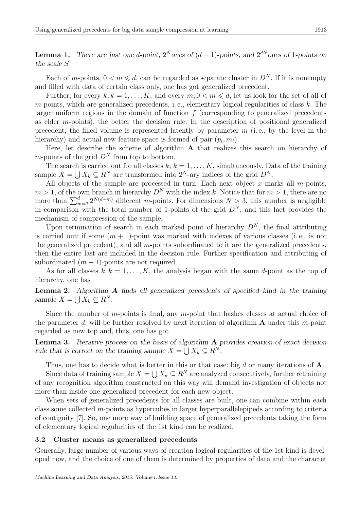**Lemma 1.** There are just one d-point,  $2^N$  ones of  $(d-1)$ -points, and  $2^{dN}$  ones of 1-points on the scale S.

Each of m-points,  $0 < m \le d$ , can be regarded as separate cluster in  $D<sup>N</sup>$ . If it is nonempty and filled with data of certain class only, one has got generalized precedent.

Further, for every  $k, k = 1, ..., K$ , and every  $m, 0 < m \le d$ , let us look for the set of all of  $m$ -points, which are generalized precedents, i.e., elementary logical regularities of class  $k$ . The larger uniform regions in the domain of function  $f$  (corresponding to generalized precedents as elder m-points), the better the decision rule. In the description of positional generalized precedent, the filled volume is represented latently by parameter  $m$  (i.e., by the level in the hierarchy) and actual new feature space is formed of pair  $(p_i, m_i)$ .

Here, let describe the scheme of algorithm A that realizes this search on hierarchy of m-points of the grid  $D^N$  from top to bottom.

The search is carried out for all classes  $k, k = 1, \ldots, K$ , simultaneously. Data of the training sample  $X = \bigcup X_k \subseteq R^N$  are transformed into  $2^N$ -ary indices of the grid  $D^N$ .

All objects of the sample are processed in turn. Each next object  $x$  marks all  $m$ -points,  $m > 1$ , of the own branch in hierarchy  $D^N$  with the index k. Notice that for  $m > 1$ , there are no more than  $\sum_{m=2}^{d} 2^{N(d-m)}$  different m-points. For dimensions  $N > 3$ , this number is negligible in comparison with the total number of 1-points of the grid  $D^N$ , and this fact provides the mechanism of compression of the sample.

Upon termination of search in each marked point of hierarchy  $D<sup>N</sup>$ , the final attributing is carried out: if some  $(m + 1)$ -point was marked with indexes of various classes (i.e., is not the generalized precedent), and all m-points subordinated to it are the generalized precedents, then the entire last are included in the decision rule. Further specification and attributing of subordinated  $(m-1)$ -points are not required.

As for all classes  $k, k = 1, ..., K$ , the analysis began with the same d-point as the top of hierarchy, one has

Lemma 2. Algorithm A finds all generalized precedents of specified kind in the training sample  $X = \bigcup X_k \subseteq R^N$ .

Since the number of m-points is final, any m-point that hashes classes at actual choice of the parameter d, will be further resolved by next iteration of algorithm  $\bf{A}$  under this m-point regarded as new top and, thus, one has got

Lemma 3. Iterative process on the basis of algorithm A provides creation of exact decision rule that is correct on the training sample  $X = \bigcup X_k \subseteq R^N$ .

Thus, one has to decide what is better in this or that case: big  $d$  or many iterations of  $A$ .

Since data of training sample  $X = \bigcup X_k \subseteq R^N$  are analyzed consecutively, further retraining of any recognition algorithm constructed on this way will demand investigation of objects not more than inside one generalized precedent for each new object.

When sets of generalized precedents for all classes are built, one can combine within each class some collected  $m$ -points as hypercubes in larger hyperparallelepipeds according to criteria of contiguity [7]. So, one more way of building space of generalized precedents taking the form of elementary logical regularities of the 1st kind can be realized.

#### 3.2 Cluster means as generalized precedents

Generally, large number of various ways of creation logical regularities of the 1st kind is developed now, and the choice of one of them is determined by properties of data and the character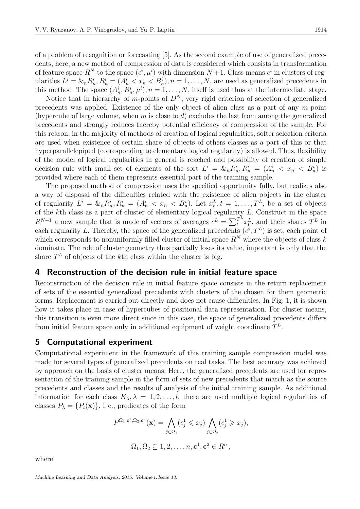of a problem of recognition or forecasting [5]. As the second example of use of generalized precedents, here, a new method of compression of data is considered which consists in transformation of feature space  $R^N$  to the space  $(c^i, \mu^i)$  with dimension  $N+1$ . Class means  $c^i$  in clusters of regularities  $L^i = \&_n R_n^i$ ,  $R_n^i = (A_n^i < x_n < B_n^i)$ ,  $n = 1, \ldots, N$ , are used as generalized precedents in this method. The space  $(A_n^i, B_n^i, \mu^i), n = 1, \ldots, N$ , itself is used thus at the intermediate stage.

Notice that in hierarchy of m-points of  $D^N$ , very rigid criterion of selection of generalized precedents was applied. Existence of the only object of alien class as a part of any m-point (hypercube of large volume, when m is close to d) excludes the last from among the generalized precedents and strongly reduces thereby potential efficiency of compression of the sample. For this reason, in the majority of methods of creation of logical regularities, softer selection criteria are used when existence of certain share of objects of others classes as a part of this or that hyperparallelepiped (corresponding to elementary logical regularity) is allowed. Thus, flexibility of the model of logical regularities in general is reached and possibility of creation of simple decision rule with small set of elements of the sort  $L^i = \mathcal{L}_n R_n^i, R_n^i = (A_n^i \langle x_n \rangle R_n^i)$  is provided where each of them represents essential part of the training sample.

The proposed method of compression uses the specified opportunity fully, but realizes also a way of disposal of the difficulties related with the existence of alien objects in the cluster of regularity  $L^i = \&_n R_n^i$ ,  $R_n^i = (A_n^i < x_n < B_n^i)$ . Let  $x_t^L$ ,  $t = 1, \ldots, T^L$ , be a set of objects of the kth class as a part of cluster of elementary logical regularity L. Construct in the space  $R^{N+1}$  a new sample that is made of vectors of averages  $c^L = \sum_t^{T^L}$  $T^L x_t^L$ , and their shares  $T^L$  in each regularity L. Thereby, the space of the generalized precedents  $(c^i, T^L)$  is set, each point of which corresponds to nonuniformly filled cluster of initial space  $R^N$  where the objects of class k dominate. The role of cluster geometry thus partially loses its value, important is only that the share  $T<sup>L</sup>$  of objects of the k<sup>th</sup> class within the cluster is big.

## 4 Reconstruction of the decision rule in initial feature space

Reconstruction of the decision rule in initial feature space consists in the return replacement of sets of the essential generalized precedents with clusters of the chosen for them geometric forms. Replacement is carried out directly and does not cause difficulties. In Fig. 1, it is shown how it takes place in case of hypercubes of positional data representation. For cluster means, this transition is even more direct since in this case, the space of generalized precedents differs from initial feature space only in additional equipment of weight coordinate  $T^L$ .

### 5 Computational experiment

Computational experiment in the framework of this training sample compression model was made for several types of generalized precedents on real tasks. The best accuracy was achieved by approach on the basis of cluster means. Here, the generalized precedents are used for representation of the training sample in the form of sets of new precedents that match as the source precedents and classes and the results of analysis of the initial training sample. As additional information for each class  $K_{\lambda}, \lambda = 1, 2, ..., l$ , there are used multiple logical regularities of classes  $P_{\lambda} = \{P_t(\mathbf{x})\}\,$ , i.e., predicates of the form

$$
P^{\Omega_1, \mathbf{c}^1, \Omega_2, \mathbf{c}^2}(\mathbf{x}) = \bigwedge_{j \in \Omega_1} (c_j^1 \leqslant x_j) \bigwedge_{j \in \Omega_2} (c_j^1 \geqslant x_j),
$$
  

$$
\Omega_1, \Omega_2 \subseteq 1, 2, \dots, n, \mathbf{c}^1, \mathbf{c}^2 \in R^n,
$$

where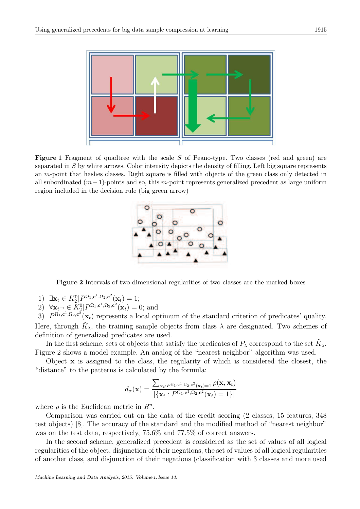

**Figure 1** Fragment of quadtree with the scale  $S$  of Peano-type. Two classes (red and green) are separated in S by white arrows. Color intensity depicts the density of filling. Left big square represents an m-point that hashes classes. Right square is filled with objects of the green class only detected in all subordinated  $(m-1)$ -points and so, this m-point represents generalized precedent as large uniform region included in the decision rule (big green arrow)



Figure 2 Intervals of two-dimensional regularities of two classes are the marked boxes

- 1)  $\exists \mathbf{x}_t \in K_2^0 | P^{\Omega_1, \mathbf{c}^1, \Omega_2, \mathbf{c}^2}(\mathbf{x}_t) = 1;$
- 2)  $\forall \mathbf{x}_t \neg \in K_2^0 | P^{\Omega_1, \mathbf{c}^1, \Omega_2, \mathbf{c}^2}(\mathbf{x}_t) = 0$ ; and

3)  $P^{\Omega_1, \mathbf{c}^1, \Omega_2, \mathbf{c}^2}(\mathbf{x}_t)$  represents a local optimum of the standard criterion of predicates' quality. Here, through  $\tilde{K}_{\lambda}$ , the training sample objects from class  $\lambda$  are designated. Two schemes of definition of generalized predicates are used.

In the first scheme, sets of objects that satisfy the predicates of  $P_{\lambda}$  correspond to the set  $\tilde{K}_{\lambda}$ . Figure 2 shows a model example. An analog of the "nearest neighbor" algorithm was used.

Object x is assigned to the class, the regularity of which is considered the closest, the "distance" to the patterns is calculated by the formula:

$$
d_{\alpha}(\mathbf{x}) = \frac{\sum_{\mathbf{x}_t: P^{\Omega_1, \mathbf{c}^1, \Omega_2, \mathbf{c}^2}(\mathbf{x}_t) = 1} \rho(\mathbf{x}, \mathbf{x}_t)}{|\{\mathbf{x}_t: P^{\Omega_1, \mathbf{c}^1, \Omega_2, \mathbf{c}^2}(\mathbf{x}_t) = 1\}|}
$$

where  $\rho$  is the Euclidean metric in  $R^n$ .

Comparison was carried out on the data of the credit scoring (2 classes, 15 features, 348 test objects) [8]. The accuracy of the standard and the modified method of "nearest neighbor" was on the test data, respectively, 75.6% and 77.5% of correct answers.

In the second scheme, generalized precedent is considered as the set of values of all logical regularities of the object, disjunction of their negations, the set of values of all logical regularities of another class, and disjunction of their negations (classification with 3 classes and more used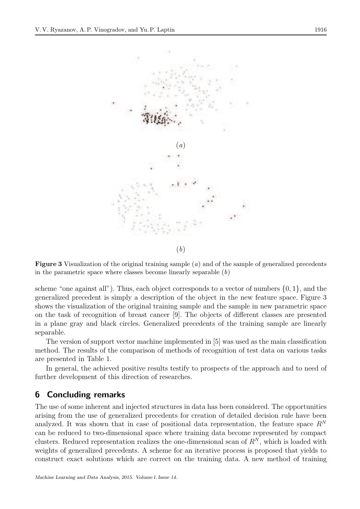

**Figure 3** Visualization of the original training sample  $(a)$  and of the sample of generalized precedents in the parametric space where classes become linearly separable  $(b)$ 

scheme "one against all"). Thus, each object corresponds to a vector of numbers  $\{0, 1\}$ , and the generalized precedent is simply a description of the object in the new feature space. Figure 3 shows the visualization of the original training sample and the sample in new parametric space on the task of recognition of breast cancer [9]. The objects of different classes are presented in a plane gray and black circles. Generalized precedents of the training sample are linearly separable.

The version of support vector machine implemented in [5] was used as the main classification method. The results of the comparison of methods of recognition of test data on various tasks are presented in Table 1.

In general, the achieved positive results testify to prospects of the approach and to need of further development of this direction of researches.

## 6 Concluding remarks

The use of some inherent and injected structures in data has been considered. The opportunities arising from the use of generalized precedents for creation of detailed decision rule have been analyzed. It was shown that in case of positional data representation, the feature space  $R^N$ can be reduced to two-dimensional space where training data become represented by compact clusters. Reduced representation realizes the one-dimensional scan of  $R^N$ , which is loaded with weights of generalized precedents. A scheme for an iterative process is proposed that yields to construct exact solutions which are correct on the training data. A new method of training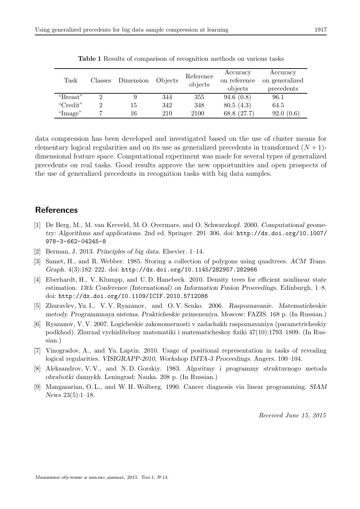| Task     | Classes | Dimension | Objects | Reference<br>objects | Accuracy<br>on reference<br>objects | Accuracy<br>on generalized<br>precedents |
|----------|---------|-----------|---------|----------------------|-------------------------------------|------------------------------------------|
| "Breast" |         |           | 344     | 355                  | 94.6(0.8)                           | 96.1                                     |
| "Credit" |         | 15        | 342     | 348                  | 80.5(4.3)                           | 64.5                                     |
| "Image"  |         | 16        | 210     | 2100                 | 68.8 (27.7)                         | 92.0(0.6)                                |

Table 1 Results of comparison of recognition methods on various tasks

data compression has been developed and investigated based on the use of cluster means for elementary logical regularities and on its use as generalized precedents in transformed  $(N+1)$ dimensional feature space. Computational experiment was made for several types of generalized precedents on real tasks. Good results approve the new opportunities and open prospects of the use of generalized precedents in recognition tasks with big data samples.

## References

- [1] De Berg, M., M. van Kreveld, M. O. Overmars, and O. Schwarzkopf. 2000. *Computational geometry: Algorithms and applications*. 2nd ed. Springer. 291–306. doi: http://dx.doi.org/10.1007/ 978-3-662-04245-8
- [2] Berman, J. 2013. *Principles of big data*. Elsevier. 1–14.
- [3] Samet, H., and R. Webber. 1985. Storing a collection of polygons using quadtrees. *ACM Trans. Graph.* 4(3):182–222. doi: http://dx.doi.org/10.1145/282957.282966
- [4] Eberhardt, H., V. Klumpp, and U. D. Hanebeck. 2010. Density trees for efficient nonlinear state estimation. *13th Conference (International) on Information Fusion Proceedings*. Edinburgh. 1–8. doi: http://dx.doi.org/10.1109/ICIF.2010.5712086
- [5] Zhuravlev, Yu. I., V. V. Ryazanov, and O. V. Senko. 2006. *Raspoznavanie. Matematicheskie metody. Programmnaya sistema. Prakticheskie primeneniya*. Moscow: FAZIS. 168 p. (In Russian.)
- [6] Ryazanov, V. V. 2007. Logicheskie zakonomernosti v zadachakh raspoznavaniya (parametricheskiy podkhod). Zhurnal vychislitelnoy matematiki i matematicheskoy fiziki 47(10):1793–1809. (In Russian.)
- [7] Vinogradov, A., and Yu. Laptin. 2010. Usage of positional representation in tasks of revealing logical regularities. *VISIGRAPP-2010, Workshop IMTA-3 Proceedings*. Angers. 100–104.
- [8] Aleksandrov, V. V., and N. D. Gorskiy. 1983. *Algoritmy i programmy strukturnogo metoda obrabotki dannykh*. Leningrad: Nauka. 208 p. (In Russian.)
- [9] Mangasarian, O. L., and W. H. Wolberg. 1990. Cancer diagnosis via linear programming. *SIAM News* 23(5):1–18.

Received June 15, 2015